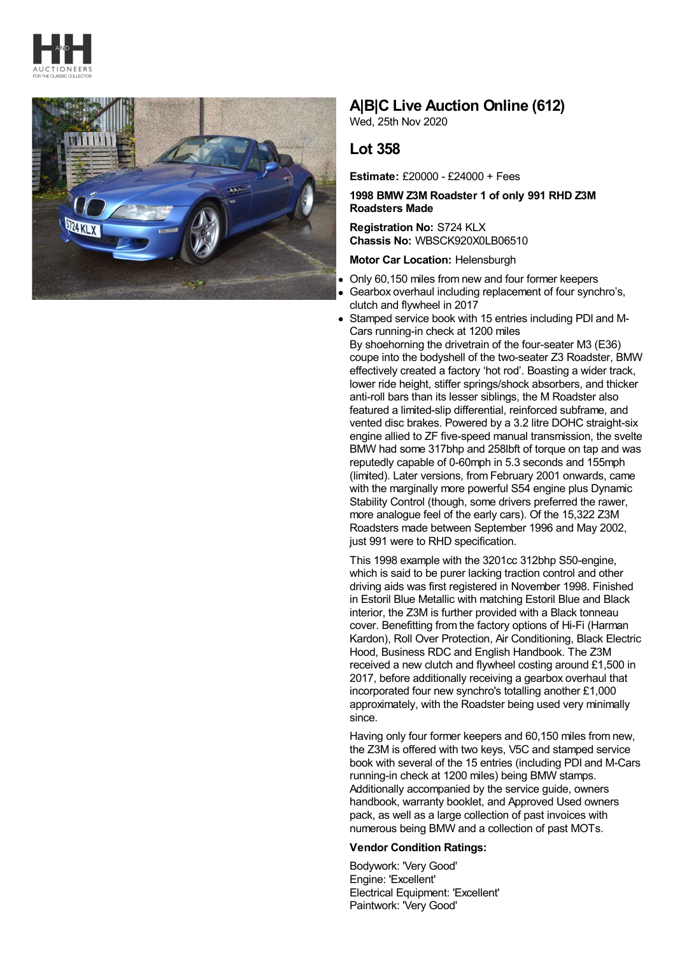



# **A|B|C Live Auction Online (612)**

Wed, 25th Nov 2020

## **Lot 358**

**Estimate:** £20000 - £24000 + Fees

### **1998 BMW Z3M Roadster 1 of only 991 RHD Z3M Roadsters Made**

**Registration No:** S724 KLX **Chassis No:** WBSCK920X0LB06510

#### **Motor Car Location:** Helensburgh

- Only 60,150 miles from new and four former keepers
- Gearbox overhaul including replacement of four synchro's, clutch and flywheel in 2017
- Stamped service book with 15 entries including PDI and M-Cars running-in check at 1200 miles

By shoehorning the drivetrain of the four-seater M3 (E36) coupe into the bodyshell of the two-seater Z3 Roadster, BMW effectively created a factory 'hot rod'. Boasting a wider track, lower ride height, stiffer springs/shock absorbers, and thicker anti-roll bars than its lesser siblings, the M Roadster also featured a limited-slip differential, reinforced subframe, and vented disc brakes. Powered by a 3.2 litre DOHC straight-six engine allied to ZF five-speed manual transmission, the svelte BMW had some 317bhp and 258lbft of torque on tap and was reputedly capable of 0-60mph in 5.3 seconds and 155mph (limited). Later versions, from February 2001 onwards, came with the marginally more powerful S54 engine plus Dynamic Stability Control (though, some drivers preferred the rawer, more analogue feel of the early cars). Of the 15,322 Z3M Roadsters made between September 1996 and May 2002, just 991 were to RHD specification.

This 1998 example with the 3201cc 312bhp S50-engine, which is said to be purer lacking traction control and other driving aids was first registered in November 1998. Finished in Estoril Blue Metallic with matching Estoril Blue and Black interior, the Z3M is further provided with a Black tonneau cover. Benefitting from the factory options of Hi-Fi (Harman Kardon), Roll Over Protection, Air Conditioning, Black Electric Hood, Business RDC and English Handbook. The Z3M received a new clutch and flywheel costing around £1,500 in 2017, before additionally receiving a gearbox overhaul that incorporated four new synchro's totalling another £1,000 approximately, with the Roadster being used very minimally since.

Having only four former keepers and 60,150 miles from new, the Z3M is offered with two keys, V5C and stamped service book with several of the 15 entries (including PDI and M-Cars running-in check at 1200 miles) being BMW stamps. Additionally accompanied by the service guide, owners handbook, warranty booklet, and Approved Used owners pack, as well as a large collection of past invoices with numerous being BMW and a collection of past MOTs.

### **Vendor Condition Ratings:**

Bodywork: 'Very Good' Engine: 'Excellent' Electrical Equipment: 'Excellent' Paintwork: 'Very Good'